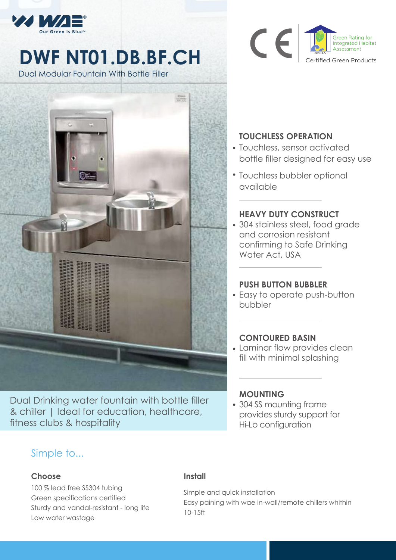

# **DWF NT01.DB.BF.CH**

Dual Modular Fountain With Bottle Filler



Dual Drinking water fountain with bottle filler & chiller | Ideal for education, healthcare, fitness clubs & hospitality



## **TOUCHLESS OPERATION**

- Touchless, sensor activated bottle filler designed for easy use
- Touchless bubbler optional available

### **HEAVY DUTY CONSTRUCT**

304 stainless steel, food grade and corrosion resistant confirming to Safe Drinking Water Act, USA

#### **PUSH BUTTON BUBBLER**

Easy to operate push-button bubbler

#### **CONTOURED BASIN**

Laminar flow provides clean fill with minimal splashing

#### **MOUNTING**

304 SS mounting frame provides sturdy support for Hi-Lo configuration

# Simple to...

#### **Choose**

100 % lead free SS304 tubing Green specifications certified Sturdy and vandal-resistant - long life Low water wastage

#### **Install**

Simple and quick installation Easy paining with wae in-wall/remote chillers whithin 10-15ft